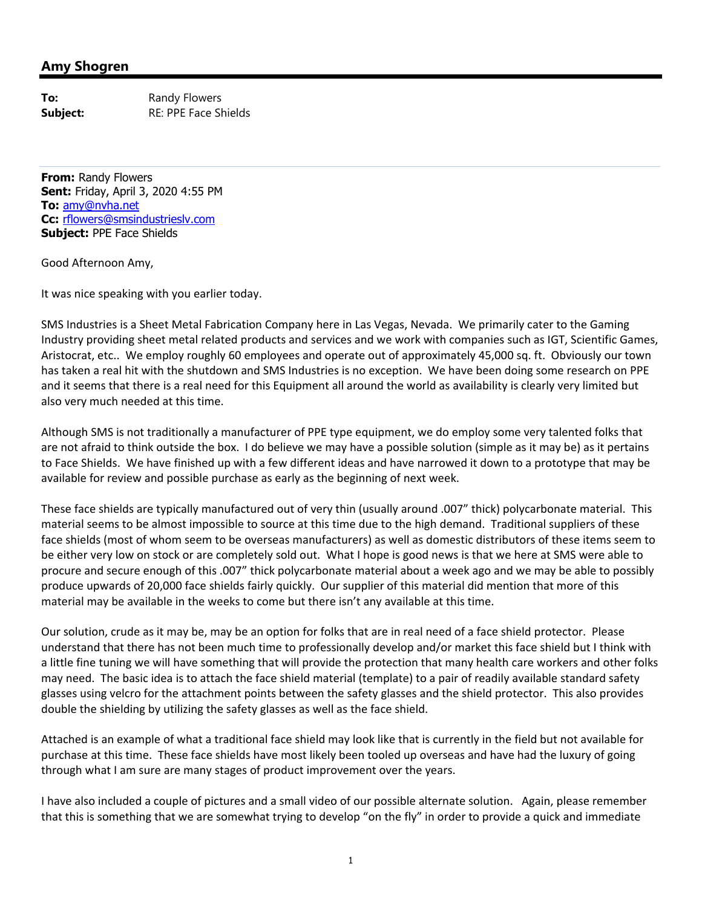## **Amy Shogren**

**To:** Randy Flowers **Subject:** RE: PPE Face Shields

**From:** Randy Flowers **Sent:** Friday, April 3, 2020 4:55 PM **To:** amy@nvha.net **Cc:** rflowers@smsindustrieslv.com **Subject:** PPE Face Shields

Good Afternoon Amy,

It was nice speaking with you earlier today.

SMS Industries is a Sheet Metal Fabrication Company here in Las Vegas, Nevada. We primarily cater to the Gaming Industry providing sheet metal related products and services and we work with companies such as IGT, Scientific Games, Aristocrat, etc.. We employ roughly 60 employees and operate out of approximately 45,000 sq. ft. Obviously our town has taken a real hit with the shutdown and SMS Industries is no exception. We have been doing some research on PPE and it seems that there is a real need for this Equipment all around the world as availability is clearly very limited but also very much needed at this time.

Although SMS is not traditionally a manufacturer of PPE type equipment, we do employ some very talented folks that are not afraid to think outside the box. I do believe we may have a possible solution (simple as it may be) as it pertains to Face Shields. We have finished up with a few different ideas and have narrowed it down to a prototype that may be available for review and possible purchase as early as the beginning of next week.

These face shields are typically manufactured out of very thin (usually around .007" thick) polycarbonate material. This material seems to be almost impossible to source at this time due to the high demand. Traditional suppliers of these face shields (most of whom seem to be overseas manufacturers) as well as domestic distributors of these items seem to be either very low on stock or are completely sold out. What I hope is good news is that we here at SMS were able to procure and secure enough of this .007" thick polycarbonate material about a week ago and we may be able to possibly produce upwards of 20,000 face shields fairly quickly. Our supplier of this material did mention that more of this material may be available in the weeks to come but there isn't any available at this time.

Our solution, crude as it may be, may be an option for folks that are in real need of a face shield protector. Please understand that there has not been much time to professionally develop and/or market this face shield but I think with a little fine tuning we will have something that will provide the protection that many health care workers and other folks may need. The basic idea is to attach the face shield material (template) to a pair of readily available standard safety glasses using velcro for the attachment points between the safety glasses and the shield protector. This also provides double the shielding by utilizing the safety glasses as well as the face shield.

Attached is an example of what a traditional face shield may look like that is currently in the field but not available for purchase at this time. These face shields have most likely been tooled up overseas and have had the luxury of going through what I am sure are many stages of product improvement over the years.

I have also included a couple of pictures and a small video of our possible alternate solution. Again, please remember that this is something that we are somewhat trying to develop "on the fly" in order to provide a quick and immediate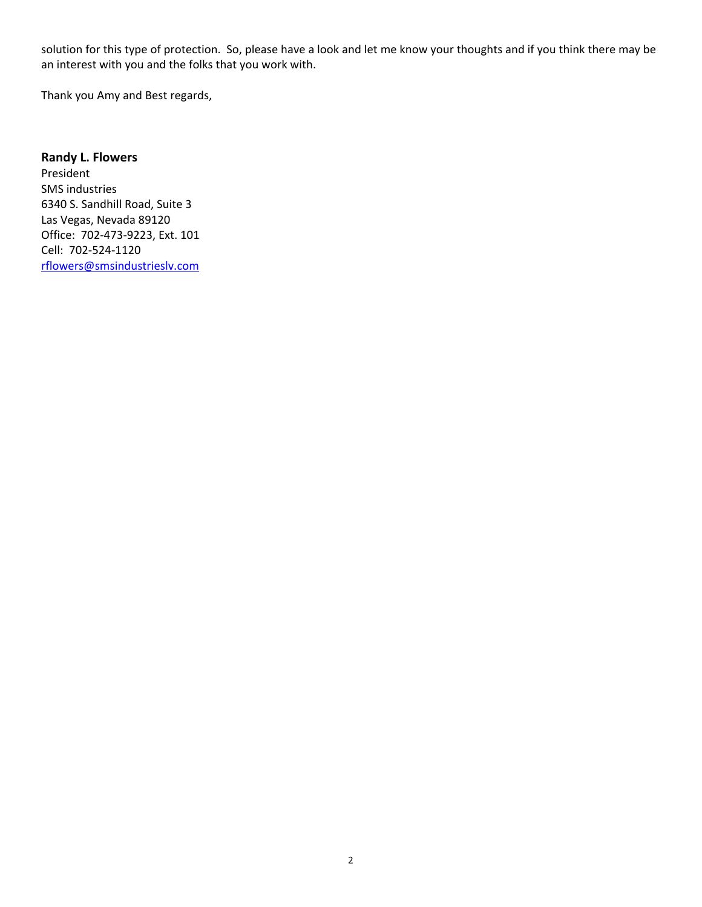solution for this type of protection. So, please have a look and let me know your thoughts and if you think there may be an interest with you and the folks that you work with.

Thank you Amy and Best regards,

## **Randy L. Flowers**

President SMS industries 6340 S. Sandhill Road, Suite 3 Las Vegas, Nevada 89120 Office: 702‐473‐9223, Ext. 101 Cell: 702‐524‐1120 rflowers@smsindustrieslv.com